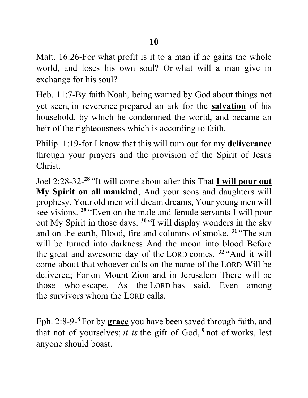Matt. 16:26-For what profit is it to a man if he gains the whole world, and loses his own soul? Or what will a man give in exchange for his soul?

Heb. 11:7-By faith Noah, being warned by God about things not yet seen, in reverence prepared an ark for the **salvation** of his household, by which he condemned the world, and became an heir of the righteousness which is according to faith.

Philip. 1:19-for I know that this will turn out for my **deliverance** through your prayers and the provision of the Spirit of Jesus Christ.

Joel 2:28-32-**<sup>28</sup>**"It will come about after this That **I will pour out My Spirit on all mankind**; And your sons and daughters will prophesy, Your old men will dream dreams, Your young men will see visions. <sup>29</sup> "Even on the male and female servants I will pour out My Spirit in those days. **<sup>30</sup>**"I will display wonders in the sky and on the earth, Blood, fire and columns of smoke. **<sup>31</sup>**"The sun will be turned into darkness And the moon into blood Before the great and awesome day of the LORD comes. **<sup>32</sup>**"And it will come about that whoever calls on the name of the LORD Will be delivered; For on Mount Zion and in Jerusalem There will be those who escape, As the LORD has said, Even among the survivors whom the LORD calls.

Eph. 2:8-9-**<sup>8</sup>**For by **grace** you have been saved through faith, and that not of yourselves; *it is* the gift of God, **<sup>9</sup>**not of works, lest anyone should boast.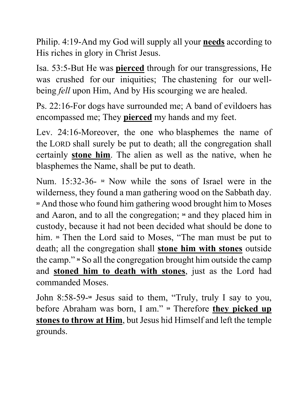Philip. 4:19-And my God will supply all your **needs** according to His riches in glory in Christ Jesus.

Isa. 53:5-But He was **pierced** through for our transgressions, He was crushed for our iniquities; The chastening for our wellbeing *fell* upon Him, And by His scourging we are healed.

Ps. 22:16-For dogs have surrounded me; A band of evildoers has encompassed me; They **pierced** my hands and my feet.

Lev. 24:16-Moreover, the one who blasphemes the name of the LORD shall surely be put to death; all the congregation shall certainly **stone him**. The alien as well as the native, when he blasphemes the Name, shall be put to death.

Num. 15:32-36- **<sup>32</sup>** Now while the sons of Israel were in the wilderness, they found a man gathering wood on the Sabbath day. **<sup>33</sup>** And those who found him gathering wood brought him to Moses and Aaron, and to all the congregation; **<sup>34</sup>** and they placed him in custody, because it had not been decided what should be done to him. **<sup>35</sup>** Then the Lord said to Moses, "The man must be put to death; all the congregation shall **stone him with stones** outside the camp." **<sup>36</sup>** So all the congregation brought him outside the camp and **stoned him to death with stones**, just as the Lord had commanded Moses.

John 8:58-59-**<sup>58</sup>** Jesus said to them, "Truly, truly I say to you, before Abraham was born, I am." **59** Therefore **they picked up stones to throw at Him**, but Jesus hid Himself and left the temple grounds.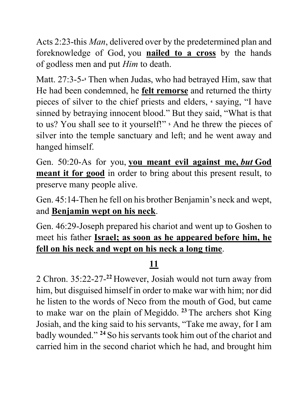Acts 2:23-this *Man*, delivered over by the predetermined plan and foreknowledge of God, you **nailed to a cross** by the hands of godless men and put *Him* to death.

Matt. 27:3-5-**<sup>3</sup>** Then when Judas, who had betrayed Him, saw that He had been condemned, he **felt remorse** and returned the thirty pieces of silver to the chief priests and elders, **<sup>4</sup>** saying, "I have sinned by betraying innocent blood." But they said, "What is that to us? You shall see to it yourself!" **<sup>5</sup>** And he threw the pieces of silver into the temple sanctuary and left; and he went away and hanged himself.

Gen. 50:20-As for you, **you meant evil against me,** *but* **God meant it for good** in order to bring about this present result, to preserve many people alive.

Gen. 45:14-Then he fell on his brother Benjamin's neck and wept, and **Benjamin wept on his neck**.

Gen. 46:29-Joseph prepared his chariot and went up to Goshen to meet his father **Israel; as soon as he appeared before him, he fell on his neck and wept on his neck a long time**.

## **11**

2 Chron. 35:22-27-**<sup>22</sup>**However, Josiah would not turn away from him, but disguised himself in order to make war with him; nor did he listen to the words of Neco from the mouth of God, but came to make war on the plain of Megiddo. **<sup>23</sup>**The archers shot King Josiah, and the king said to his servants, "Take me away, for I am badly wounded." **<sup>24</sup>**So his servants took him out of the chariot and carried him in the second chariot which he had, and brought him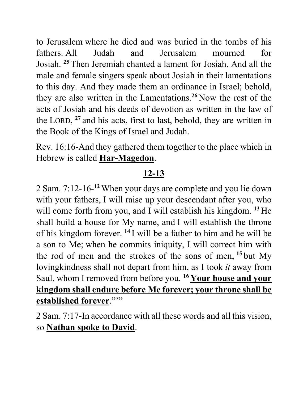to Jerusalem where he died and was buried in the tombs of his fathers. All Judah and Jerusalem mourned for Josiah. **<sup>25</sup>**Then Jeremiah chanted a lament for Josiah. And all the male and female singers speak about Josiah in their lamentations to this day. And they made them an ordinance in Israel; behold, they are also written in the Lamentations.**<sup>26</sup>**Now the rest of the acts of Josiah and his deeds of devotion as written in the law of the LORD, **<sup>27</sup>**and his acts, first to last, behold, they are written in the Book of the Kings of Israel and Judah.

Rev. 16:16-And they gathered them together to the place which in Hebrew is called **Har-Magedon**.

## **12-13**

2 Sam. 7:12-16-**<sup>12</sup>** When your days are complete and you lie down with your fathers, I will raise up your descendant after you, who will come forth from you, and I will establish his kingdom. <sup>13</sup> He shall build a house for My name, and I will establish the throne of his kingdom forever. **<sup>14</sup>**I will be a father to him and he will be a son to Me; when he commits iniquity, I will correct him with the rod of men and the strokes of the sons of men, **<sup>15</sup>**but My lovingkindness shall not depart from him, as I took *it* away from Saul, whom I removed from before you. **16 Your house and your kingdom shall endure before Me forever; your throne shall be <u>established forever</u>."""** 

2 Sam. 7:17-In accordance with all these words and all this vision, so **Nathan spoke to David**.